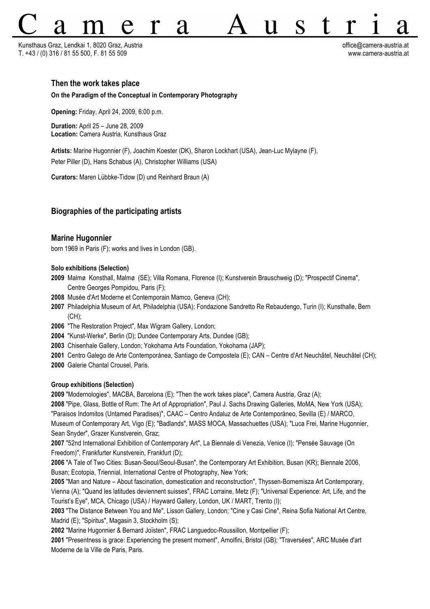Kunsthaus Graz, Lendkai 1, 8020 Graz, Austria office@camera-austria.at T. +43 / (0) 316 / 81 55 500, F. 81 55 509 www.camera-austria.at

H

## **Then the work takes place**

#### **On the Paradigm of the Conceptual in Contemporary Photography**

**Opening:** Friday, April 24, 2009, 6:00 p.m.

**Duration:** April 25 – June 28, 2009 **Location:** Camera Austria, Kunsthaus Graz

**Artists:** Marine Hugonnier (F), Joachim Koester (DK), Sharon Lockhart (USA), Jean-Luc Mylayne (F), Peter Piller (D), Hans Schabus (A), Christopher Williams (USA)

**Curators:** Maren Lübbke-Tidow (D) und Reinhard Braun (A)

## **Biographies of the participating artists**

## **Marine Hugonnier**

born 1969 in Paris (F); works and lives in London (GB).

### **Solo exhibitions (Selection)**

- **2009** Malmø Konsthall, Malmø (SE); Villa Romana, Florence (I); Kunstverein Brauschweig (D); "Prospectif Cinema", Centre Georges Pompidou, Paris (F);
- **2008** Musée d'Art Moderne et Contemporain Mamco, Geneva (CH);
- **2007** Philadelphia Museum of Art, Philadelphia (USA); Fondazione Sandretto Re Rebaudengo, Turin (I); Kunsthalle, Bern (CH);
- **2006** "The Restoration Project", Max Wigram Gallery, London;
- **2004** "Kunst-Werke", Berlin (D); Dundee Contemporary Arts, Dundee (GB);
- **2003** Chisenhale Gallery, London; Yokohama Arts Foundation, Yokohama (JAP);
- **2001** Centro Galego de Arte Contemporánea, Santiago de Compostela (E); CAN Centre d'Art Neuchâtel, Neuchâtel (CH);
- **2000** Galerie Chantal Crousel, Paris.

#### **Group exhibitions (Selection)**

**2009** "Modernologies", MACBA, Barcelona (E); "Then the work takes place", Camera Austria, Graz (A);

**2008** "Pipe, Glass, Bottle of Rum: The Art of Appropriation", Paul J. Sachs Drawing Galleries, MoMA, New York (USA); "Paraisos Indomitos (Untamed Paradises)", CAAC – Centro Andaluz de Arte Contemporáneo, Sevilla (E) / MARCO, Museum of Contemporary Art, Vigo (E); "Badlands", MASS MOCA, Massachuettes (USA); "Luca Frei, Marine Hugonnier, Sean Snyder", Grazer Kunstverein, Graz;

**2007** "52nd International Exhibition of Contemporary Art", La Biennale di Venezia, Venice (I); "Pensée Sauvage (On Freedom)", Frankfurter Kunstverein, Frankfurt (D);

**2006** "A Tale of Two Cities: Busan-Seoul/Seoul-Busan", the Contemporary Art Exhibition, Busan (KR); Biennale 2006, Busan; Ecotopia, Triennial, International Centre of Photography, New York;

**2005** "Man and Nature – About fascination, domestication and reconstruction", Thyssen-Bornemisza Art Contemporary, Vienna (A); "Quand les latitudes deviennent suisses", FRAC Lorraine, Metz (F); "Universal Experience: Art, Life, and the Tourist's Eye", MCA, Chicago (USA) / Hayward Gallery, London, UK / MART, Trento (I);

**2003** "The Distance Between You and Me", Lisson Gallery, London; "Cine y Casi Cine", Reina Sofia National Art Centre, Madrid (E); "Spiritus", Magasin 3, Stockholm (S);

**2002** "Marine Hugonnier & Bernard Joïsten", FRAC Languedoc-Roussillon, Montpellier (F);

**2001** "Presentness is grace: Experiencing the present moment", Arnolfini, Bristol (GB); "Traversées", ARC Musée d'art Moderne de la Ville de Paris, Paris.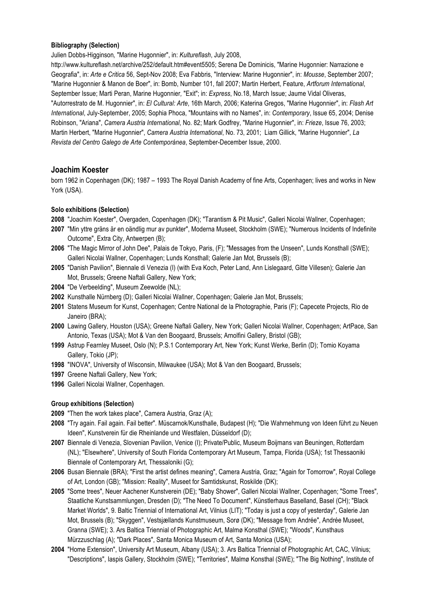## **Bibliography (Selection)**

Julien Dobbs-Higginson*,* "Marine Hugonnier", in: *Kultureflash*, July 2008,

http://www.kultureflash.net/archive/252/default.htm#event5505; Serena De Dominicis, "Marine Hugonnier: Narrazione e Geografia", in: *Arte e Critica* 56, Sept-Nov 2008; Eva Fabbris, "Interview: Marine Hugonnier", in: *Mousse*, September 2007; "Marine Hugonnier & Manon de Boer", in: Bomb, Number 101, fall 2007; Martin Herbert, Feature, *Artforum International*, September Issue; Marti Peran, Marine Hugonnier*,* "Exit"; in: *Express*, No.18, March Issue; Jaume Vidal Oliveras, "Autorrestrato de M. Hugonnier", in: *El Cultural: Arte*, 16th March, 2006; Katerina Gregos, "Marine Hugonnier", in: *Flash Art International*, July-September, 2005; Sophia Phoca, "Mountains with no Names", in: *Contemporary*, Issue 65, 2004; Denise Robinson, "Ariana", *Camera Austria International*, No. 82; Mark Godfrey, "Marine Hugonnier", in: *Frieze*, Issue 76, 2003; Martin Herbert, "Marine Hugonnier", *Camera Austria International*, No. 73, 2001; Liam Gillick, "Marine Hugonnier", *La Revista del Centro Galego de Arte Contemporánea*, September-December Issue, 2000.

# **Joachim Koester**

born 1962 in Copenhagen (DK); 1987 – 1993 The Royal Danish Academy of fine Arts, Copenhagen; lives and works in New York (USA).

## **Solo exhibitions (Selection)**

**2008** "Joachim Koester", Overgaden, Copenhagen (DK); "Tarantism & Pit Music", Galleri Nicolai Wallner, Copenhagen;

- **2007** "Min yttre gräns är en oändlig mur av punkter", Moderna Museet, Stockholm (SWE); "Numerous Incidents of Indefinite Outcome", Extra City, Antwerpen (B);
- **2006** "The Magic Mirror of John Dee", Palais de Tokyo, Paris, (F); "Messages from the Unseen", Lunds Konsthall (SWE); Galleri Nicolai Wallner, Copenhagen; Lunds Konsthall; Galerie Jan Mot, Brussels (B);
- **2005** "Danish Pavilion", Biennale di Venezia (I) (with Eva Koch, Peter Land, Ann Lislegaard, Gitte Villesen); Galerie Jan Mot, Brussels; Greene Naftali Gallery, New York;
- **2004** "De Verbeelding", Museum Zeewolde (NL);
- **2002** Kunsthalle Nürnberg (D); Galleri Nicolai Wallner, Copenhagen; Galerie Jan Mot, Brussels;
- **2001** Statens Museum for Kunst, Copenhagen; Centre National de la Photographie, Paris (F); Capecete Projects, Rio de Janeiro (BRA);
- **2000** Lawing Gallery, Houston (USA); Greene Naftali Gallery, New York; Galleri Nicolai Wallner, Copenhagen; ArtPace, San Antonio, Texas (USA); Mot & Van den Boogaard, Brussels; Arnolfini Gallery, Bristol (GB);
- **1999** Astrup Fearnley Museet, Oslo (N); P.S.1 Contemporary Art, New York; Kunst Werke, Berlin (D); Tomio Koyama Gallery, Tokio (JP);
- **1998** "INOVA", University of Wisconsin, Milwaukee (USA); Mot & Van den Boogaard, Brussels;
- **1997** Greene Naftali Gallery, New York;
- **1996** Galleri Nicolai Wallner, Copenhagen.

## **Group exhibitions (Selection)**

**2009** "Then the work takes place", Camera Austria, Graz (A);

- **2008** "Try again. Fail again. Fail better". Müscarnok/Kunsthalle, Budapest (H); "Die Wahrnehmung von Ideen führt zu Neuen Ideen", Kunstverein für die Rheinlande und Westfalen, Düsseldorf (D);
- **2007** Biennale di Venezia, Slovenian Pavilion, Venice (I); Private/Public, Museum Boijmans van Beuningen, Rotterdam (NL); "Elsewhere", University of South Florida Contemporary Art Museum, Tampa, Florida (USA); 1st Thessaoniki Biennale of Contemporary Art, Thessaloniki (G);
- **2006** Busan Biennale (BRA); "First the artist defines meaning", Camera Austria, Graz; "Again for Tomorrow", Royal College of Art, London (GB); "Mission: Reality", Museet for Samtidskunst, Roskilde (DK);
- **2005** "Some trees", Neuer Aachener Kunstverein (DE); "Baby Shower", Galleri Nicolai Wallner, Copenhagen; "Some Trees"*,*  Staatliche Kunstsammlungen, Dresden (D); "The Need To Document", Künstlerhaus Baselland, Basel (CH); "Black Market Worlds", 9. Baltic Triennial of International Art, Vilnius (LIT); "Today is just a copy of yesterday", Galerie Jan Mot, Brussels (B); "Skyggen", Vestsjællands Kunstmuseum, Sorø (DK); "Message from Andrée", Andrée Museet, Granna (SWE); 3. Ars Baltica Triennial of Photographic Art, Malmø Konsthal (SWE); "Woods", Kunsthaus Mürzzuschlag (A); "Dark Places", Santa Monica Museum of Art, Santa Monica (USA);
- **2004** "Home Extension", University Art Museum, Albany (USA); 3. Ars Baltica Triennial of Photographic Art, CAC, Vilnius; "Descriptions", Iaspis Gallery, Stockholm (SWE); "Territories"*,* Malmø Konsthal (SWE); "The Big Nothing", Institute of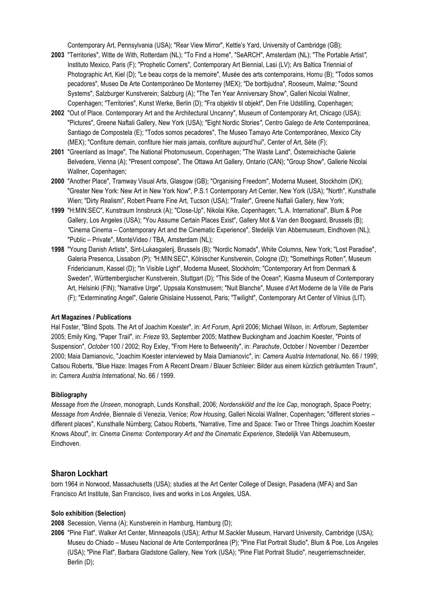Contemporary Art, Pennsylvania (USA); "Rear View Mirror", Kettle's Yard, University of Cambridge (GB);

- **2003** "Territories", Witte de With, Rotterdam (NL); "To Find a Home", "SeARCH", Amsterdam (NL); "The Portable Artist*",*  Instituto Mexico, Paris (F); "Prophetic Corners"*,* Contemporary Art Biennial, Lasi (LV); Ars Baltica Triennial of Photographic Art, Kiel (D); "Le beau corps de la memoire"*,* Musée des arts contemporains, Hornu (B); "Todos somos pecadores"*,* Museo De Arte Contemporáneo De Monterrey (MEX); "De bortbjudna"*,* Rooseum, Malmø; "Sound Systems", Salzburger Kunstverein; Salzburg (A); "The Ten Year Anniversary Show", Galleri Nicolai Wallner, Copenhagen; "Territories", Kunst Werke, Berlin (D); "Fra objektiv til objekt", Den Frie Udstilling, Copenhagen;
- **2002** "Out of Place. Contemporary Art and the Architectural Uncanny", Museum of Contemporary Art, Chicago (USA); "Pictures", Greene Naftali Gallery, New York (USA); "Eight Nordic Stories*",* Centro Galego de Arte Contemporánea, Santiago de Compostela (E); "Todos somos pecadores", The Museo Tamayo Arte Contemporáneo, Mexico City (MEX); "Confiture demain, confiture hier mais jamais, confiture aujourd'hui", Center of Art, Sète (F);
- **2001** "Greenland as Image"*,* The National Photomuseum, Copenhagen; "The Waste Land"*,* Österreichische Galerie Belvedere, Vienna (A); "Present compose", The Ottawa Art Gallery, Ontario (CAN); "Group Show", Gallerie Nicolai Wallner, Copenhagen;
- **2000** "Another Place", Tramway Visual Arts, Glasgow (GB); "Organising Freedom", Moderna Museet, Stockholm (DK); "Greater New York: New Art in New York Now", P.S.1 Contemporary Art Center, New York (USA); "North", Kunsthalle Wien; "Dirty Realism", Robert Pearre Fine Art, Tucson (USA); "Trailer", Greene Naftali Gallery, New York;
- **1999** "H:MIN:SEC", Kunstraum Innsbruck (A); "Close-Up", Nikolai Kike, Copenhagen; "L.A. International", Blum & Poe Gallery, Los Angeles (USA); "You Assume Certain Places Exist", Gallery Mot & Van den Boogaard, Brussels (B); *"*Cinema Cinema – Contemporary Art and the Cinematic Experience", Stedelijk Van Abbemuseum, Eindhoven (NL); "Public – Private", MonteVideo / TBA, Amsterdam (NL);
- **1998** "Young Danish Artists"*,* Sint-Lukasgalerij, Brussels (B); "Nordic Nomads", White Columns, New York; "Lost Paradise", Galeria Presenca, Lissabon (P); *"*H:MIN:SEC", Kölnischer Kunstverein, Cologne (D); "Somethings Rotten*"*, Museum Fridericianum, Kassel (D); "In Visible Light", Moderna Museet, Stockholm; "Contemporary Art from Denmark & Sweden"*,* Württembergischer Kunstverein, Stuttgart (D); "This Side of the Ocean"*,* Kiasma Museum of Contemporary Art, Helsinki (FIN); "Narrative Urge"*,* Uppsala Konstmusem; "Nuit Blanche", Musee d'Art Moderne de la Ville de Paris (F); "Exterminating Angel", Galerie Ghislaine Hussenot, Paris; "Twilight", Contemporary Art Center of Vilnius (LIT).

### **Art Magazines / Publications**

Hal Foster, "Blind Spots. The Art of Joachim Koester", in: *Art Forum*, April 2006; Michael Wilson, in: *Artforum*, September 2005; Emily King, "Paper Trail", in: *Frieze* 93, September 2005; Matthew Buckingham and Joachim Koester, "Points of Suspension", *October* 100 / 2002; Roy Exley, "From Here to Betweenity", in: *Parachute*, October / November / Dezember 2000; Maia Damianovic, "Joachim Koester interviewed by Maia Damianovic", in: *Camera Austria International*, No. 66 / 1999; Catsou Roberts, "Blue Haze: Images From A Recent Dream / Blauer Schleier: Bilder aus einem kürzlich geträumten Traum", in: *Camera Austria International*, No. 66 / 1999.

#### **Bibliography**

*Message from the Unseen*, monograph, Lunds Konsthall, 2006; *Nordenskiöld and the Ice Cap*, monograph, Space Poetry; *Message from Andrée*, Biennale di Venezia, Venice; *Row Housing*, Galleri Nicolai Wallner, Copenhagen; "different stories – different places", Kunsthalle Nürnberg; Catsou Roberts, "Narrative, Time and Space: Two or Three Things Joachim Koester Knows About", in: *Cinema Cinema: Contemporary Art and the Cinematic Experience*, Stedelijk Van Abbemuseum, Eindhoven.

### **Sharon Lockhart**

born 1964 in Norwood, Massachusetts (USA); studies at the Art Center College of Design, Pasadena (MFA) and San Francisco Art Institute, San Francisco, lives and works in Los Angeles, USA.

#### **Solo exhibition (Selection)**

**2008** Secession, Vienna (A); Kunstverein in Hamburg, Hamburg (D);

**2006** "Pine Flat", Walker Art Center, Minneapolis (USA); Arthur M.Sackler Museum, Harvard University, Cambridge (USA); Museu do Chiado – Museu Nacional de Arte Contemporânea (P); "Pine Flat Portrait Studio"*,* Blum & Poe, Los Angeles (USA); "Pine Flat", Barbara Gladstone Gallery, New York (USA); "Pine Flat Portrait Studio", neugerriemschneider, Berlin (D);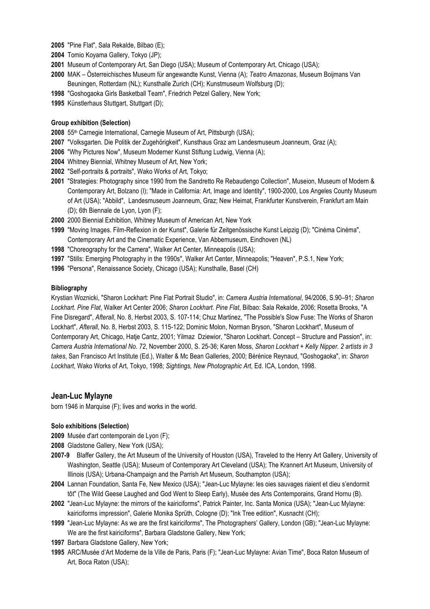- **2005** "Pine Flat", Sala Rekalde, Bilbao (E);
- **2004** Tomio Koyama Gallery, Tokyo (JP);
- **2001** Museum of Contemporary Art, San Diego (USA); Museum of Contemporary Art, Chicago (USA);
- **2000** MAK Österreichisches Museum für angewandte Kunst, Vienna (A); *Teatro Amazonas*, Museum Boijmans Van Beuningen, Rotterdam (NL); Kunsthalle Zurich (CH); Kunstmuseum Wolfsburg (D);
- **1998** "Goshogaoka Girls Basketball Team", Friedrich Petzel Gallery, New York;
- **1995** Künstlerhaus Stuttgart, Stuttgart (D);

### **Group exhibition (Selection)**

- **2008** 55th Carnegie International, Carnegie Museum of Art, Pittsburgh (USA);
- **2007** "Volksgarten. Die Politik der Zugehörigkeit", Kunsthaus Graz am Landesmuseum Joanneum, Graz (A);
- **2006** "Why Pictures Now", Museum Moderner Kunst Stiftung Ludwig, Vienna (A);
- **2004** Whitney Biennial, Whitney Museum of Art, New York;
- **2002** "Self-portraits & portraits", Wako Works of Art, Tokyo;
- **2001** "Strategies: Photography since 1990 from the Sandretto Re Rebaudengo Collection", Museion, Museum of Modern & Contemporary Art, Bolzano (I); "Made in California: Art, Image and Identity", 1900-2000, Los Angeles County Museum of Art (USA); "Abbild", Landesmuseum Joanneum, Graz; New Heimat, Frankfurter Kunstverein, Frankfurt am Main (D); 6th Biennale de Lyon, Lyon (F);
- **2000** 2000 Biennial Exhibition, Whitney Museum of American Art, New York
- **1999** "Moving Images. Film-Reflexion in der Kunst", Galerie für Zeitgenössische Kunst Leipzig (D); "Cinéma Cinéma", Contemporary Art and the Cinematic Experience, Van Abbemuseum, Eindhoven (NL)
- **1998** "Choreography for the Camera", Walker Art Center, Minneapolis (USA);
- **1997** "Stills: Emerging Photography in the 1990s", Walker Art Center, Minneapolis; "Heaven", P.S.1, New York;
- **1996** "Persona", Renaissance Society, Chicago (USA); Kunsthalle, Basel (CH)

### **Bibliography**

Krystian Woznicki, "Sharon Lockhart: Pine Flat Portrait Studio", in: *Camera Austria International*, 94/2006, S.90–91; *Sharon Lockhart. Pine Flat*, Walker Art Center 2006; *Sharon Lockhart. Pine Flat*, Bilbao: Sala Rekalde, 2006; Rosetta Brooks, "A Fine Disregard", *Afterall*, No. 8, Herbst 2003, S. 107-114; Chuz Martinez, "The Possible's Slow Fuse: The Works of Sharon Lockhart", *Afterall*, No. 8, Herbst 2003, S. 115-122; Dominic Molon, Norman Bryson, "Sharon Lockhart", Museum of Contemporary Art, Chicago, Hatje Cantz, 2001; Yilmaz Dziewior, "Sharon Lockhart. Concept – Structure and Passion", in: *Camera Austria International No. 72*, November 2000, S. 25-36; Karen Moss, *Sharon Lockhart + Kelly Nipper. 2 artists in 3 takes*, San Francisco Art Institute (Ed.), Walter & Mc Bean Galleries, 2000; Bérénice Reynaud, "Goshogaoka", in: *Sharon Lockhart*, Wako Works of Art, Tokyo, 1998; *Sightings, New Photographic Art,* Ed. ICA, London, 1998.

## **Jean-Luc Mylayne**

born 1946 in Marquise (F); lives and works in the world.

#### **Solo exhibitions (Selection)**

- **2009** Musée d'art contemporain de Lyon (F);
- **2008** Gladstone Gallery, New York (USA);
- **2007-9** Blaffer Gallery, the Art Museum of the University of Houston (USA), Traveled to the Henry Art Gallery, University of Washington, Seattle (USA); Museum of Contemporary Art Cleveland (USA); The Krannert Art Museum, University of Illinois (USA); Urbana-Champaign and the Parrish Art Museum, Southampton (USA);
- **2004** Lannan Foundation, Santa Fe, New Mexico (USA); "Jean-Luc Mylayne: les oies sauvages riaient et dieu s'endormit tôt" (The Wild Geese Laughed and God Went to Sleep Early), Musée des Arts Contemporains, Grand Hornu (B).
- **2002** "Jean-Luc Mylayne: the mirrors of the kairiciforms", Patrick Painter, Inc. Santa Monica (USA); "Jean-Luc Mylayne: kairiciforms impression", Galerie Monika Sprüth, Cologne (D); "Ink Tree edition", Kusnacht (CH);
- **1999** "Jean-Luc Mylayne: As we are the first kairiciforms", The Photographers' Gallery, London (GB); "Jean-Luc Mylayne: We are the first kairiciforms", Barbara Gladstone Gallery, New York;
- **1997** Barbara Gladstone Gallery, New York;
- **1995** ARC/Musée d'Art Moderne de la Ville de Paris, Paris (F); "Jean-Luc Mylayne: Avian Time", Boca Raton Museum of Art, Boca Raton (USA);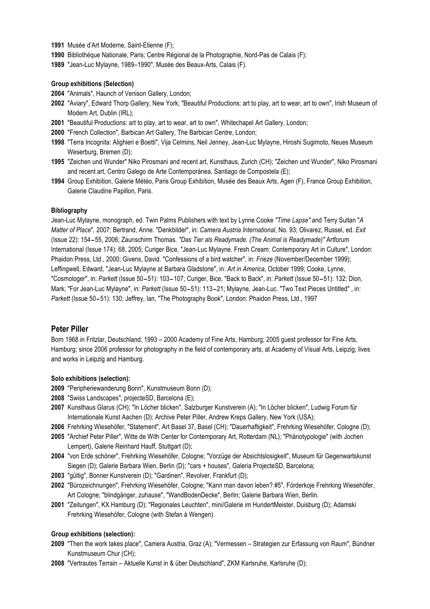- **1991** Musée d'Art Moderne, Saint-Etienne (F);
- **1990** Bibliothèque Nationale, Paris; Centre Régional de la Photographie, Nord-Pas de Calais (F);
- **1989** "Jean-Luc Mylayne, 1989–1990", Musée des Beaux-Arts, Calais (F).

### **Group exhibitions (Selection)**

- **2004** "Animals", Haunch of Venison Gallery, London;
- **2002** "Aviary", Edward Thorp Gallery, New York; "Beautiful Productions: art to play, art to wear, art to own", Irish Museum of Modern Art, Dublin (IRL);
- **2001** "Beautiful Productions: art to play, art to wear, art to own", Whitechapel Art Gallery, London;
- **2000** "French Collection", Barbican Art Gallery, The Barbican Centre, London;
- **1998** "Terra Incognita: Alighieri e Boetti", Vija Celmins, Neil Jenney, Jean-Luc Mylayne, Hiroshi Sugimoto, Neues Museum Weserburg, Bremen (D);
- **1995** "Zeichen und Wunder" Niko Pirosmani and recent art, Kunsthaus, Zurich (CH); "Zeichen und Wunder", Niko Pirosmani and recent art, Centro Galego de Arte Contemporánea, Santiago de Compostela (E);
- **1994** Group Exhibition, Galerie Météo, Paris Group Exhibition, Musée des Beaux Arts, Agen (F), France Group Exhibition, Galerie Claudine Papillon, Paris.

### **Bibliography**

Jean-Luc Mylayne, monograph, ed. Twin Palms Publishers with text by Lynne Cooke *"Time Lapse"* and Terry Sultan "*A Matter of Place*"*,* 2007; Bertrand, Anne. "Denkbilder", in: *Camera Austria International*, No. 93; Olivarez, Russel, ed. *Exit* (Issue 22): 154-55, 2006; Zaunschirm Thomas. *"Das Tier als Readymade. (The Animal is Readymade)"* Artforum International (Issue 174): 68, 2005; Curiger Bice, "Jean-Luc Mylayne. Fresh Cream: Contemporary Art in Culture", London: Phaidon Press, Ltd., 2000; Givens, David. "Confessions of a bird watcher", in: *Frieze* (November/December 1999); Leffingwell, Edward, "Jean-Luc Mylayne at Barbara Gladstone", in: *Art in America*, October 1999; Cooke, Lynne, "Cosmologer", in: *Parkett* (Issue 50-51): 103-107; Curiger, Bice, "Back to Back", in: *Parkett* (Issue 50-51): 132; Dion, Mark; "For Jean-Luc Mylayne", in: *Parkett* (Issue 50-51): 113-21; Mylayne, Jean-Luc. "Two Text Pieces Untitled" , in: *Parkett* (Issue 50-51): 130; Jeffrey, Ian, "The Photography Book", London: Phaidon Press, Ltd., 1997

## **Peter Piller**

Born 1968 in Fritzlar, Deutschland; 1993 – 2000 Academy of Fine Arts, Hamburg; 2005 guest professor for Fine Arts, Hamburg; since 2006 professor for photography in the field of contemporary arts, at Academy of Visual Arts, Leipzig; lives and works in Leipzig and Hamburg.

### **Solo exhibitions (selection):**

- **2009** "Peripheriewanderung Bonn", Kunstmuseum Bonn (D);
- **2008** "Swiss Landscapes", projecteSD, Barcelona (E);
- **2007** Kunsthaus Glarus (CH); "In Löcher blicken", Salzburger Kunstverein (A); "In Löcher blicken", Ludwig Forum für Internationale Kunst Aachen (D); Archive Peter Piller, Andrew Kreps Gallery, New York (USA);
- **2006** Frehrking Wiesehöfer, "Statement", Art Basel 37, Basel (CH); "Dauerhaftigkeit", Frehrking Wiesehöfer, Cologne (D);
- **2005** "Archief Peter Piller", Witte de With Center for Contemporary Art, Rotterdam (NL); "Phänotypologie" (with Jochen Lempert), Galerie Reinhard Hauff, Stuttgart (D);
- **2004** "von Erde schöner", Frehrking Wiesehöfer, Cologne; "Vorzüge der Absichtslosigkeit", Museum für Gegenwartskunst Siegen (D); Galerie Barbara Wien, Berlin (D); "cars + houses", Galeria ProjecteSD, Barcelona;
- **2003** "gültig", Bonner Kunstverein (D); "Gardinen", Revolver, Frankfurt (D);
- **2002** "Bürozeichnungen", Frehrking Wiesehöfer, Cologne; "Kann man davon leben? #5", Förderkoje Frehrking Wiesehöfer, Art Cologne; "blindgänger, zuhause", "WandBodenDecke", Berlin; Galerie Barbara Wien, Berlin.
- **2001** "Zeitungen", KX Hamburg (D); "Regionales Leuchten", mini/Galerie im HundertMeister, Duisburg (D); Adamski Frehrking Wiesehöfer, Cologne (with Stefan à Wengen).

### **Group exhibitions (selection):**

- **2009** "Then the work takes place", Camera Austria, Graz (A); "Vermessen Strategien zur Erfassung von Raum", Bündner Kunstmuseum Chur (CH);
- **2008** "Vertrautes Terrain Aktuelle Kunst in & über Deutschland", ZKM Karlsruhe, Karlsruhe (D);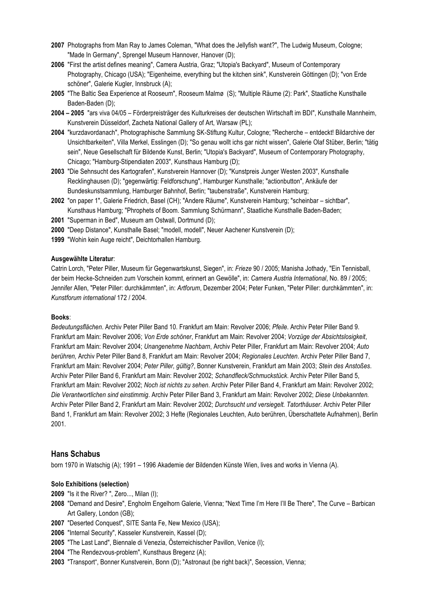- **2007** Photographs from Man Ray to James Coleman, "What does the Jellyfish want?", The Ludwig Museum, Cologne; "Made In Germany", Sprengel Museum Hannover, Hanover (D);
- **2006** "First the artist defines meaning", Camera Austria, Graz; "Utopia's Backyard", Museum of Contemporary Photography, Chicago (USA); "Eigenheime, everything but the kitchen sink", Kunstverein Göttingen (D); "von Erde schöner", Galerie Kugler, Innsbruck (A);
- **2005** "The Baltic Sea Experience at Rooseum", Rooseum Malmø (S); "Multiple Räume (2): Park", Staatliche Kunsthalle Baden-Baden (D);
- **2004 2005** "ars viva 04/05 Förderpreisträger des Kulturkreises der deutschen Wirtschaft im BDI", Kunsthalle Mannheim, Kunstverein Düsseldorf, Zacheta National Gallery of Art, Warsaw (PL);
- **2004** "kurzdavordanach", Photographische Sammlung SK-Stiftung Kultur, Cologne; "Recherche entdeckt! Bildarchive der Unsichtbarkeiten", Villa Merkel, Esslingen (D); "So genau wollt ichs gar nicht wissen", Galerie Olaf Stüber, Berlin; "tätig sein", Neue Gesellschaft für Bildende Kunst, Berlin; "Utopia's Backyard", Museum of Contemporary Photography, Chicago; "Hamburg-Stipendiaten 2003", Kunsthaus Hamburg (D);
- **2003** "Die Sehnsucht des Kartografen", Kunstverein Hannover (D); "Kunstpreis Junger Westen 2003", Kunsthalle Recklinghausen (D); "gegenwärtig: Feldforschung", Hamburger Kunsthalle; "actionbutton", Ankäufe der Bundeskunstsammlung, Hamburger Bahnhof, Berlin; "taubenstraße", Kunstverein Hamburg;
- **2002** "on paper 1", Galerie Friedrich, Basel (CH); "Andere Räume", Kunstverein Hamburg; "scheinbar sichtbar", Kunsthaus Hamburg; "Phrophets of Boom. Sammlung Schürmann", Staatliche Kunsthalle Baden-Baden;
- **2001** "Superman in Bed", Museum am Ostwall, Dortmund (D);
- **2000** "Deep Distance", Kunsthalle Basel; "modell, modell", Neuer Aachener Kunstverein (D);
- **1999** "Wohin kein Auge reicht", Deichtorhallen Hamburg.

### **Ausgewählte Literatur**:

Catrin Lorch, "Peter Piller, Museum für Gegenwartskunst, Siegen", in: *Frieze* 90 / 2005; Manisha Jothady, "Ein Tennisball, der beim Hecke-Schneiden zum Vorschein kommt, erinnert an Gewölle", in: *Camera Austria International*, No. 89 / 2005; Jennifer Allen, "Peter Piller: durchkämmten", in: *Artforum*, Dezember 2004; Peter Funken, "Peter Piller: durchkämmten", in: *Kunstforum international* 172 / 2004.

### **Books**:

*Bedeutungsflächen*. Archiv Peter Piller Band 10. Frankfurt am Main: Revolver 2006; *Pfeile*. Archiv Peter Piller Band 9. Frankfurt am Main: Revolver 2006; *Von Erde schöner*, Frankfurt am Main: Revolver 2004; *Vorzüge der Absichtslosigkeit*, Frankfurt am Main: Revolver 2004; *Unangenehme Nachbarn*, Archiv Peter Piller, Frankfurt am Main: Revolver 2004; *Auto berühren,* Archiv Peter Piller Band 8, Frankfurt am Main: Revolver 2004; *Regionales Leuchten*. Archiv Peter Piller Band 7, Frankfurt am Main: Revolver 2004; *Peter Piller, gültig?*, Bonner Kunstverein, Frankfurt am Main 2003; *Stein des Anstoßes*. Archiv Peter Piller Band 6, Frankfurt am Main: Revolver 2002; *Schandfleck/Schmuckstück*. Archiv Peter Piller Band 5, Frankfurt am Main: Revolver 2002; *Noch ist nichts zu sehen*. Archiv Peter Piller Band 4, Frankfurt am Main: Revolver 2002; *Die Verantwortlichen sind einstimmig*. Archiv Peter Piller Band 3, Frankfurt am Main: Revolver 2002; *Diese Unbekannten.*  Archiv Peter Piller Band 2, Frankfurt am Main: Revolver 2002; *Durchsucht und versiegelt. Tatorthäuser*. Archiv Peter Piller Band 1, Frankfurt am Main: Revolver 2002; 3 Hefte (Regionales Leuchten, Auto berühren, Überschattete Aufnahmen), Berlin 2001.

### **Hans Schabus**

born 1970 in Watschig (A); 1991 – 1996 Akademie der Bildenden Künste Wien, lives and works in Vienna (A).

#### **Solo Exhibitions (selection)**

- **2009** "Is it the River? ", Zero..., Milan (I);
- **2008** "Demand and Desire", Engholm Engelhorn Galerie, Vienna; "Next Time I'm Here I'll Be There", The Curve Barbican Art Gallery, London (GB);
- **2007** "Deserted Conquest", SITE Santa Fe, New Mexico (USA);
- **2006** "Internal Security", Kasseler Kunstverein, Kassel (D);
- **2005** "The Last Land", Biennale di Venezia, Österreichischer Pavillon, Venice (I);
- **2004** "The Rendezvous-problem", Kunsthaus Bregenz (A);
- **2003** "Transport", Bonner Kunstverein, Bonn (D); "Astronaut (be right back)", Secession, Vienna;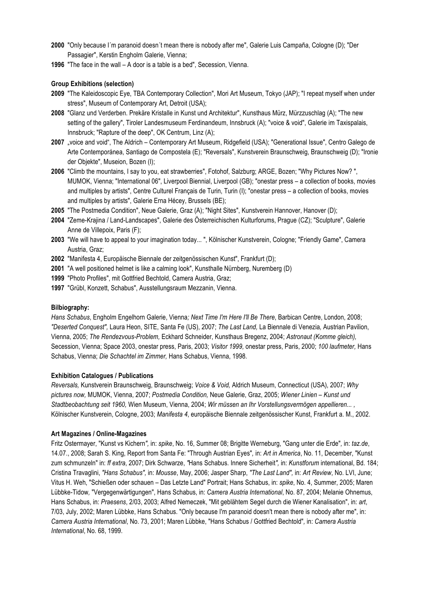- **2000** "Only because I´m paranoid doesn´t mean there is nobody after me", Galerie Luis Campaña, Cologne (D); "Der Passagier", Kerstin Engholm Galerie, Vienna;
- **1996** "The face in the wall A door is a table is a bed", Secession, Vienna.

## **Group Exhibitions (selection)**

- **2009** "The Kaleidoscopic Eye, TBA Contemporary Collection", Mori Art Museum, Tokyo (JAP); "I repeat myself when under stress", Museum of Contemporary Art, Detroit (USA);
- **2008** "Glanz und Verderben. Prekäre Kristalle in Kunst und Architektur", Kunsthaus Mürz, Mürzzuschlag (A); "The new setting of the gallery", Tiroler Landesmuseum Ferdinandeum, Innsbruck (A); "voice & void", Galerie im Taxispalais, Innsbruck; "Rapture of the deep", OK Centrum, Linz (A);
- 2007 "voice and void", The Aldrich Contemporary Art Museum, Ridgefield (USA); "Generational Issue", Centro Galego de Arte Contemporánea, Santiago de Compostela (E); "Reversals", Kunstverein Braunschweig, Braunschweig (D); "Ironie der Objekte", Museion, Bozen (I);
- **2006** "Climb the mountains, I say to you, eat strawberries", Fotohof, Salzburg; ARGE, Bozen; "Why Pictures Now? ", MUMOK, Vienna; "International 06", Liverpool Biennial, Liverpool (GB); "onestar press – a collection of books, movies and multiples by artists", Centre Culturel Français de Turin, Turin (I); "onestar press – a collection of books, movies and multiples by artists", Galerie Erna Hécey, Brussels (BE);
- **2005** "The Postmedia Condition", Neue Galerie, Graz (A); "Night Sites", Kunstverein Hannover, Hanover (D);
- **2004** "Zeme-Krajina / Land-Landscapes", Galerie des Österreichischen Kulturforums, Prague (CZ); "Sculpture", Galerie Anne de Villepoix, Paris (F);
- **2003** "We will have to appeal to your imagination today... ", Kölnischer Kunstverein, Cologne; "Friendly Game", Camera Austria, Graz;
- **2002** "Manifesta 4, Europäische Biennale der zeitgenössischen Kunst", Frankfurt (D);
- **2001** "A well positioned helmet is like a calming look", Kunsthalle Nürnberg, Nuremberg (D)
- **1999** "Photo Profiles", mit Gottfried Bechtold, Camera Austria, Graz;
- **1997** "Grübl, Konzett, Schabus", Ausstellungsraum Mezzanin, Vienna.

## **Bilbiography:**

*Hans Schabus*, Engholm Engelhorn Galerie, Vienna*; Next Time I'm Here I'll Be There*, Barbican Centre, London, 2008; *"Deserted Conquest",* Laura Heon, SITE, Santa Fe (US), 2007; *The Last Land,* La Biennale di Venezia*,* Austrian Pavilion, Vienna, 2005; *The Rendezvous-Problem,* Eckhard Schneider, Kunsthaus Bregenz, 2004; *Astronaut (Komme gleich),*  Secession, Vienna; Space 2003, onestar press, Paris, 2003; *Visitor 1999,* onestar press, Paris, 2000; *100 laufmeter,* Hans Schabus, Vienna; *Die Schachtel im Zimmer,* Hans Schabus, Vienna, 1998.

### **Exhibition Catalogues / Publications**

*Reversals,* Kunstverein Braunschweig, Braunschweig; *Voice & Void,* Aldrich Museum, Connecticut (USA), 2007; *Why pictures now,* MUMOK, Vienna, 2007; *Postmedia Condition,* Neue Galerie, Graz, 2005; *Wiener Linien – Kunst und Stadtbeobachtung seit 1960,* Wien Museum, Vienna, 2004; *Wir müssen an Ihr Vorstellungsvermögen appellieren... ,* Kölnischer Kunstverein, Cologne, 2003; *Manifesta 4*, europäische Biennale zeitgenössischer Kunst, Frankfurt a. M., 2002.

### **Art Magazines / Online-Magazines**

Fritz Ostermayer, "Kunst vs Kichern*",* in: *spike*, No. 16, Summer 08; Brigitte Werneburg, "Gang unter die Erde"*,* in: *taz.de*, 14.07., 2008; Sarah S. King, Report from Santa Fe: "Through Austrian Eyes"*,* in: *Art in America*, No. 11, December, "Kunst zum schmunzeln" in: *ff extra*, 2007; Dirk Schwarze, *"*Hans Schabus. Innere Sicherheit*",* in: *Kunstforum* international, Bd. 184; Cristina Travaglini, *"Hans Schabus",* in: *Mousse*, May, 2006; Jasper Sharp, *"The Last Land",* in: *Art Review*, No. LVI, June; Vitus H. Weh, "Schießen oder schauen – Das Letzte Land" Portrait; Hans Schabus, in: *spike*, No. 4, Summer, 2005; Maren Lübbke-Tidow*,* "Vergegenwärtigungen", Hans Schabus, in: *Camera Austria International*, No. 87, 2004; Melanie Ohnemus, Hans Schabus, in: *Praesens*, 2/03, 2003; Alfred Nemeczek, "Mit geblähtem Segel durch die Wiener Kanalisation", in: *art*, 7/03, July, 2002; Maren Lübbke, Hans Schabus. "Only because I'm paranoid doesn't mean there is nobody after me", in: *Camera Austria International*, No. 73, 2001; Maren Lübbke, "Hans Schabus / Gottfried Bechtold"*,* in: *Camera Austria International*, No. 68, 1999.